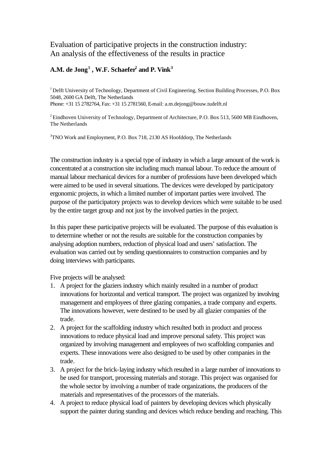Evaluation of participative projects in the construction industry: An analysis of the effectiveness of the results in practice

## **A.M. de Jong<sup>1</sup> , W.F. Schaefer<sup>2</sup> and P. Vink<sup>3</sup>**

 $1$  Delft University of Technology, Department of Civil Engineering, Section Building Processes, P.O. Box 5048, 2600 GA Delft, The Netherlands

Phone: +31 15 2782764, Fax: +31 15 2781560, E-mail: a.m.dejong@bouw.tudelft.nl

<sup>2</sup> Eindhoven University of Technology, Department of Architecture, P.O. Box 513, 5600 MB Eindhoven, The Netherlands

<sup>3</sup>TNO Work and Employment, P.O. Box 718, 2130 AS Hoofddorp, The Netherlands

The construction industry is a special type of industry in which a large amount of the work is concentrated at a construction site including much manual labour. To reduce the amount of manual labour mechanical devices for a number of professions have been developed which were aimed to be used in several situations. The devices were developed by participatory ergonomic projects, in which a limited number of important parties were involved. The purpose of the participatory projects was to develop devices which were suitable to be used by the entire target group and not just by the involved parties in the project.

In this paper these participative projects will be evaluated. The purpose of this evaluation is to determine whether or not the results are suitable for the construction companies by analysing adoption numbers, reduction of physical load and users' satisfaction. The evaluation was carried out by sending questionnaires to construction companies and by doing interviews with participants.

Five projects will be analysed:

- 1. A project for the glaziers industry which mainly resulted in a number of product innovations for horizontal and vertical transport. The project was organized by involving management and employees of three glazing companies, a trade company and experts. The innovations however, were destined to be used by all glazier companies of the trade.
- 2. A project for the scaffolding industry which resulted both in product and process innovations to reduce physical load and improve personal safety. This project was organized by involving management and employees of two scaffolding companies and experts. These innovations were also designed to be used by other companies in the trade.
- 3. A project for the brick-laying industry which resulted in a large number of innovations to be used for transport, processing materials and storage. This project was organised for the whole sector by involving a number of trade organizations, the producers of the materials and representatives of the processors of the materials.
- 4. A project to reduce physical load of painters by developing devices which physically support the painter during standing and devices which reduce bending and reaching. This